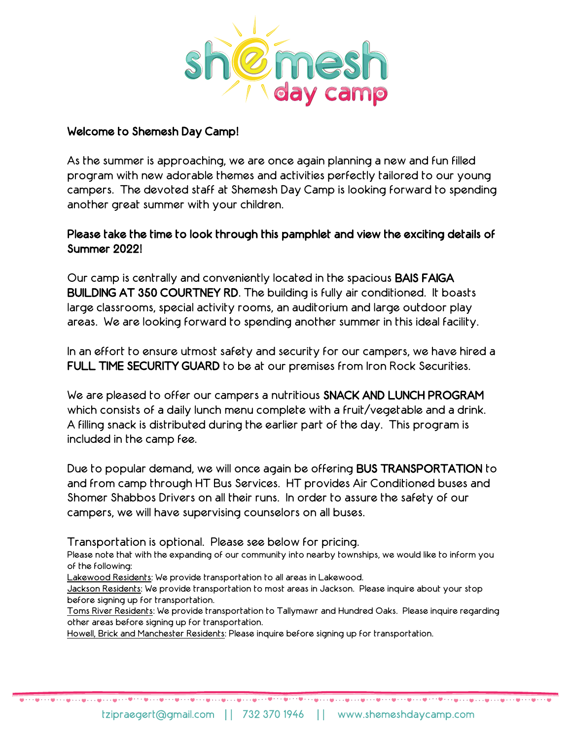

## Welcome to Shemesh Day Camp!

As the summer is approaching, we are once again planning a new and fun filled program with new adorable themes and activities perfectly tailored to our young campers. The devoted staff at Shemesh Day Camp is looking forward to spending another great summer with your children.

# Please take the time to look through this pamphlet and view the exciting details of Summer 2022!

Our camp is centrally and conveniently located in the spacious BAIS FAIGA BUILDING AT 350 COURTNEY RD. The building is fully air conditioned. It boasts large classrooms, special activity rooms, an auditorium and large outdoor play areas. We are looking forward to spending another summer in this ideal facility.

In an effort to ensure utmost safety and security for our campers, we have hired a FULL TIME SECURITY GUARD to be at our premises from Iron Rock Securities.

We are pleased to offer our campers a nutritious SNACK AND LUNCH PROGRAM which consists of a daily lunch menu complete with a fruit/vegetable and a drink. A filling snack is distributed during the earlier part of the day. This program is included in the camp fee.

Due to popular demand, we will once again be offering BUS TRANSPORTATION to and from camp through HT Bus Services. HT provides Air Conditioned buses and Shomer Shabbos Drivers on all their runs. In order to assure the safety of our campers, we will have supervising counselors on all buses.

Transportation is optional. Please see below for pricing.

Please note that with the expanding of our community into nearby townships, we would like to inform you of the following:

Lakewood Residents: We provide transportation to all areas in Lakewood.

Jackson Residents: We provide transportation to most areas in Jackson. Please inquire about your stop before signing up for transportation.

Toms River Residents: We provide transportation to Tallymawr and Hundred Oaks. Please inquire regarding other areas before signing up for transportation.

Howell, Brick and Manchester Residents: Please inquire before signing up for transportation.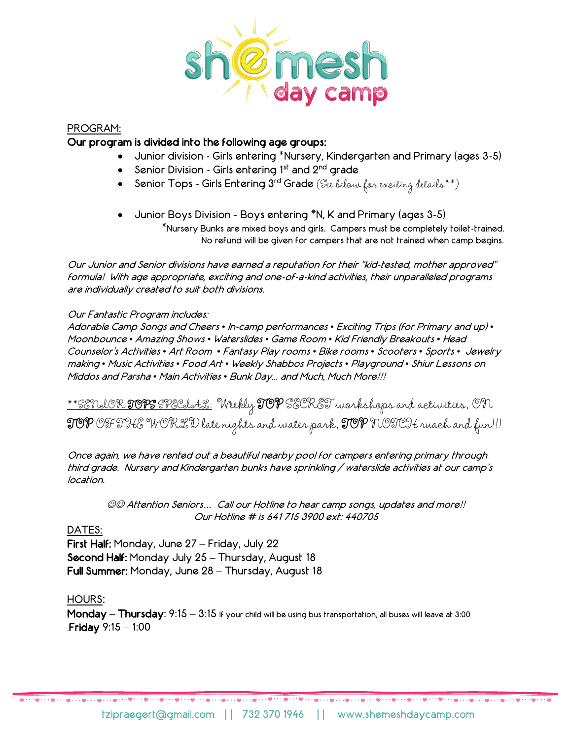

#### PROGRAM:

### Our program is divided into the following age groups:

- Junior division Girls entering \*Nursery, Kindergarten and Primary (ages 3-5)
- Senior Division Girls entering  $1<sup>st</sup>$  and  $2<sup>nd</sup>$  grade
- Senior Tops Girls Entering 3rd Grade (See below for exciting details\*\*)
- Junior Boys Division Boys entering \*N, K and Primary (ages 3-5) \*Nursery Bunks are mixed boys and girls. Campers must be completely toilet-trained. No refund will be given for campers that are not trained when camp begins.

Our Junior and Senior divisions have earned a reputation for their "kid-tested, mother approved" formula! With age appropriate, exciting and one-of-a-kind activities, their unparalleled programs are individually created to suit both divisions.

#### Our Fantastic Program includes:

Adorable Camp Songs and Cheers *•* In-camp performances *•* Exciting Trips (for Primary and up) *•* Moonbounce *•* Amazing Shows *•* Waterslides *•* Game Room *•* Kid Friendly Breakouts *•* Head Counselor's Activities *•* Art Room *•* Fantasy Play rooms *•* Bike rooms *•* Scooters *•* Sports *•* Jewelry making *•* Music Activities *•* Food Art *•* Weekly Shabbos Projects *•* Playground *•* Shiur Lessons on Middos and Parsha *•* Main Activities *•* Bunk Day... and Much, Much More!!!

\*\*SENIOR TOPS SPECIAL: Weekly TOP SECRET workshops and activities, ON TOP OF THE WORLD late nights and water park, TOP NOTCH ruach and fun!!!

Once again, we have rented out a beautiful nearby pool for campers entering primary through third grade. Nursery and Kindergarten bunks have sprinkling / waterslide activities at our camp's location.

☺☺ Attention Seniors*…* Call our Hotline to hear camp songs, updates and more!! Our Hotline # is 641 715 3900 ext: 440705

#### DATES:

First Half: Monday, June 27 – Friday, July 22 Second Half: Monday July 25 – Thursday, August 18 Full Summer: Monday, June 28 – Thursday, August 18

#### HOURS:

Monday **–** Thursday: 9:15 – 3:15 If your child will be using bus transportation, all buses will leave at 3:00 .Friday 9:15 – 1:00